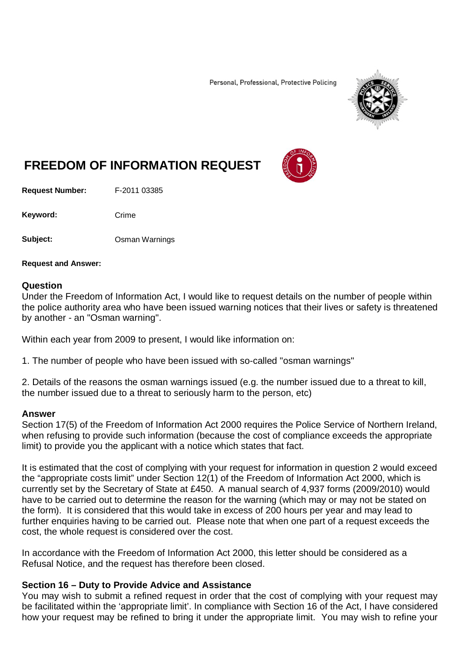Personal, Professional, Protective Policing



## **FREEDOM OF INFORMATION REQUEST**

**Request Number:** F-2011 03385

Keyword: Crime

**Subject:** Osman Warnings

**Request and Answer:**

## **Question**

Under the Freedom of Information Act, I would like to request details on the number of people within the police authority area who have been issued warning notices that their lives or safety is threatened by another - an "Osman warning".

Within each year from 2009 to present, I would like information on:

1. The number of people who have been issued with so-called "osman warnings"

2. Details of the reasons the osman warnings issued (e.g. the number issued due to a threat to kill, the number issued due to a threat to seriously harm to the person, etc)

## **Answer**

Section 17(5) of the Freedom of Information Act 2000 requires the Police Service of Northern Ireland, when refusing to provide such information (because the cost of compliance exceeds the appropriate limit) to provide you the applicant with a notice which states that fact.

It is estimated that the cost of complying with your request for information in question 2 would exceed the "appropriate costs limit" under Section 12(1) of the Freedom of Information Act 2000, which is currently set by the Secretary of State at £450. A manual search of 4,937 forms (2009/2010) would have to be carried out to determine the reason for the warning (which may or may not be stated on the form). It is considered that this would take in excess of 200 hours per year and may lead to further enquiries having to be carried out. Please note that when one part of a request exceeds the cost, the whole request is considered over the cost.

In accordance with the Freedom of Information Act 2000, this letter should be considered as a Refusal Notice, and the request has therefore been closed.

## **Section 16 – Duty to Provide Advice and Assistance**

You may wish to submit a refined request in order that the cost of complying with your request may be facilitated within the 'appropriate limit'. In compliance with Section 16 of the Act, I have considered how your request may be refined to bring it under the appropriate limit. You may wish to refine your